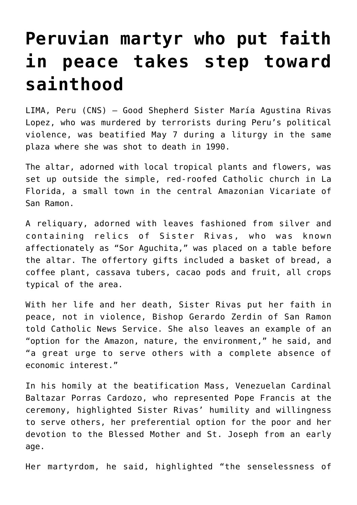## **[Peruvian martyr who put faith](https://www.osvnews.com/2022/05/09/peruvian-martyr-who-put-faith-in-peace-takes-step-toward-sainthood/) [in peace takes step toward](https://www.osvnews.com/2022/05/09/peruvian-martyr-who-put-faith-in-peace-takes-step-toward-sainthood/) [sainthood](https://www.osvnews.com/2022/05/09/peruvian-martyr-who-put-faith-in-peace-takes-step-toward-sainthood/)**

LIMA, Peru (CNS) — Good Shepherd Sister María Agustina Rivas Lopez, who was murdered by terrorists during Peru's political violence, was beatified May 7 during a liturgy in the same plaza where she was shot to death in 1990.

The altar, adorned with local tropical plants and flowers, was set up outside the simple, red-roofed Catholic church in La Florida, a small town in the central Amazonian Vicariate of San Ramon.

A reliquary, adorned with leaves fashioned from silver and containing relics of Sister Rivas, who was known affectionately as "Sor Aguchita," was placed on a table before the altar. The offertory gifts included a basket of bread, a coffee plant, cassava tubers, cacao pods and fruit, all crops typical of the area.

With her life and her death, Sister Rivas put her faith in peace, not in violence, Bishop Gerardo Zerdin of San Ramon told Catholic News Service. She also leaves an example of an "option for the Amazon, nature, the environment," he said, and "a great urge to serve others with a complete absence of economic interest."

In his homily at the beatification Mass, Venezuelan Cardinal Baltazar Porras Cardozo, who represented Pope Francis at the ceremony, highlighted Sister Rivas' humility and willingness to serve others, her preferential option for the poor and her devotion to the Blessed Mother and St. Joseph from an early age.

Her martyrdom, he said, highlighted "the senselessness of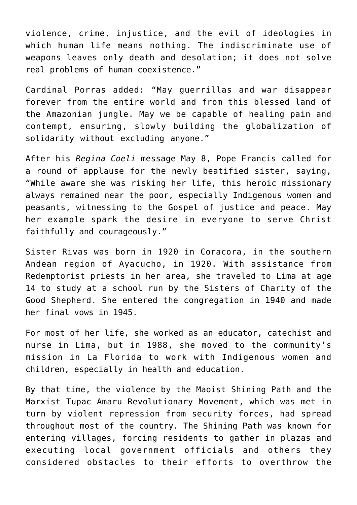violence, crime, injustice, and the evil of ideologies in which human life means nothing. The indiscriminate use of weapons leaves only death and desolation; it does not solve real problems of human coexistence."

Cardinal Porras added: "May guerrillas and war disappear forever from the entire world and from this blessed land of the Amazonian jungle. May we be capable of healing pain and contempt, ensuring, slowly building the globalization of solidarity without excluding anyone."

After his *Regina Coeli* message May 8, Pope Francis called for a round of applause for the newly beatified sister, saying, "While aware she was risking her life, this heroic missionary always remained near the poor, especially Indigenous women and peasants, witnessing to the Gospel of justice and peace. May her example spark the desire in everyone to serve Christ faithfully and courageously."

Sister Rivas was born in 1920 in Coracora, in the southern Andean region of Ayacucho, in 1920. With assistance from Redemptorist priests in her area, she traveled to Lima at age 14 to study at a school run by the Sisters of Charity of the Good Shepherd. She entered the congregation in 1940 and made her final vows in 1945.

For most of her life, she worked as an educator, catechist and nurse in Lima, but in 1988, she moved to the community's mission in La Florida to work with Indigenous women and children, especially in health and education.

By that time, the violence by the Maoist Shining Path and the Marxist Tupac Amaru Revolutionary Movement, which was met in turn by violent repression from security forces, had spread throughout most of the country. The Shining Path was known for entering villages, forcing residents to gather in plazas and executing local government officials and others they considered obstacles to their efforts to overthrow the